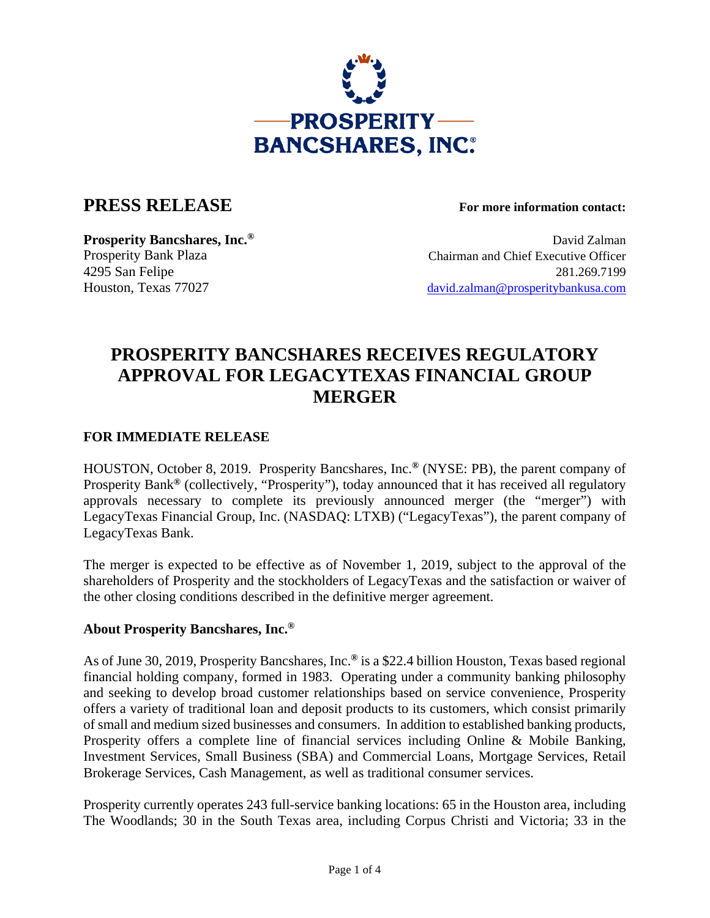

## **PRESS RELEASE For more information contact:**

**Prosperity Bancshares, Inc.<sup>®</sup> David Zalman** Prosperity Bank Plaza Chairman and Chief Executive Officer 4295 San Felipe 281.269.7199 Houston, Texas 77027 david.zalman@prosperitybankusa.com

# **PROSPERITY BANCSHARES RECEIVES REGULATORY APPROVAL FOR LEGACYTEXAS FINANCIAL GROUP MERGER**

### **FOR IMMEDIATE RELEASE**

HOUSTON, October 8, 2019. Prosperity Bancshares, Inc.**®** (NYSE: PB), the parent company of Prosperity Bank**®** (collectively, "Prosperity"), today announced that it has received all regulatory approvals necessary to complete its previously announced merger (the "merger") with LegacyTexas Financial Group, Inc. (NASDAQ: LTXB) ("LegacyTexas"), the parent company of LegacyTexas Bank.

The merger is expected to be effective as of November 1, 2019, subject to the approval of the shareholders of Prosperity and the stockholders of LegacyTexas and the satisfaction or waiver of the other closing conditions described in the definitive merger agreement.

#### **About Prosperity Bancshares, Inc.®**

As of June 30, 2019, Prosperity Bancshares, Inc.**®** is a \$22.4 billion Houston, Texas based regional financial holding company, formed in 1983. Operating under a community banking philosophy and seeking to develop broad customer relationships based on service convenience, Prosperity offers a variety of traditional loan and deposit products to its customers, which consist primarily of small and medium sized businesses and consumers. In addition to established banking products, Prosperity offers a complete line of financial services including Online & Mobile Banking, Investment Services, Small Business (SBA) and Commercial Loans, Mortgage Services, Retail Brokerage Services, Cash Management, as well as traditional consumer services.

Prosperity currently operates 243 full-service banking locations: 65 in the Houston area, including The Woodlands; 30 in the South Texas area, including Corpus Christi and Victoria; 33 in the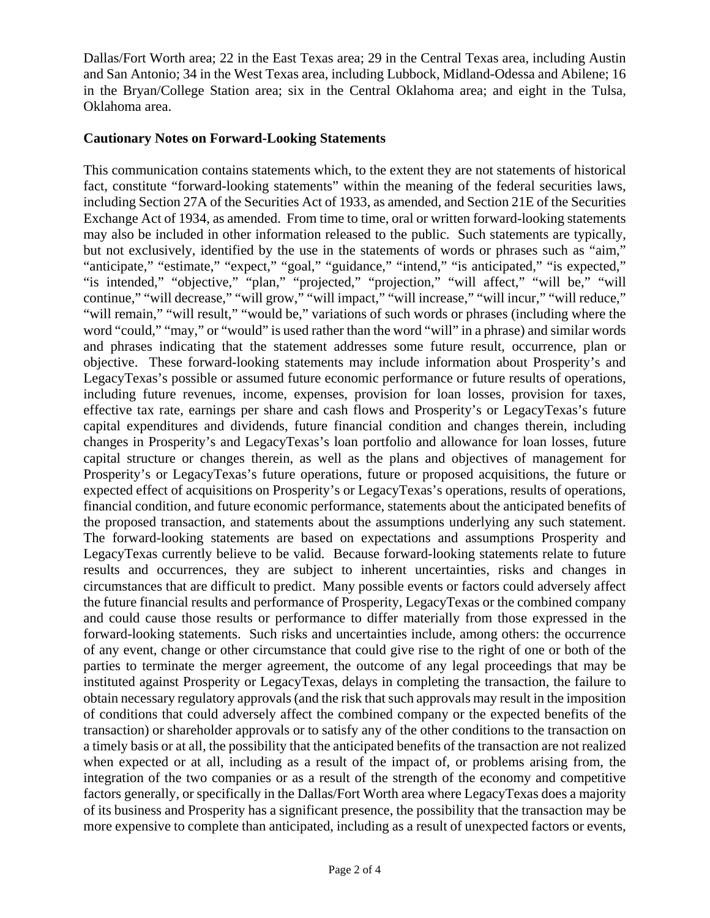Dallas/Fort Worth area; 22 in the East Texas area; 29 in the Central Texas area, including Austin and San Antonio; 34 in the West Texas area, including Lubbock, Midland-Odessa and Abilene; 16 in the Bryan/College Station area; six in the Central Oklahoma area; and eight in the Tulsa, Oklahoma area.

#### **Cautionary Notes on Forward-Looking Statements**

This communication contains statements which, to the extent they are not statements of historical fact, constitute "forward-looking statements" within the meaning of the federal securities laws, including Section 27A of the Securities Act of 1933, as amended, and Section 21E of the Securities Exchange Act of 1934, as amended. From time to time, oral or written forward-looking statements may also be included in other information released to the public. Such statements are typically, but not exclusively, identified by the use in the statements of words or phrases such as "aim," "anticipate," "estimate," "expect," "goal," "guidance," "intend," "is anticipated," "is expected," "is intended," "objective," "plan," "projected," "projection," "will affect," "will be," "will continue," "will decrease," "will grow," "will impact," "will increase," "will incur," "will reduce," "will remain," "will result," "would be," variations of such words or phrases (including where the word "could," "may," or "would" is used rather than the word "will" in a phrase) and similar words and phrases indicating that the statement addresses some future result, occurrence, plan or objective. These forward-looking statements may include information about Prosperity's and LegacyTexas's possible or assumed future economic performance or future results of operations, including future revenues, income, expenses, provision for loan losses, provision for taxes, effective tax rate, earnings per share and cash flows and Prosperity's or LegacyTexas's future capital expenditures and dividends, future financial condition and changes therein, including changes in Prosperity's and LegacyTexas's loan portfolio and allowance for loan losses, future capital structure or changes therein, as well as the plans and objectives of management for Prosperity's or LegacyTexas's future operations, future or proposed acquisitions, the future or expected effect of acquisitions on Prosperity's or LegacyTexas's operations, results of operations, financial condition, and future economic performance, statements about the anticipated benefits of the proposed transaction, and statements about the assumptions underlying any such statement. The forward-looking statements are based on expectations and assumptions Prosperity and LegacyTexas currently believe to be valid. Because forward-looking statements relate to future results and occurrences, they are subject to inherent uncertainties, risks and changes in circumstances that are difficult to predict. Many possible events or factors could adversely affect the future financial results and performance of Prosperity, LegacyTexas or the combined company and could cause those results or performance to differ materially from those expressed in the forward-looking statements. Such risks and uncertainties include, among others: the occurrence of any event, change or other circumstance that could give rise to the right of one or both of the parties to terminate the merger agreement, the outcome of any legal proceedings that may be instituted against Prosperity or LegacyTexas, delays in completing the transaction, the failure to obtain necessary regulatory approvals (and the risk that such approvals may result in the imposition of conditions that could adversely affect the combined company or the expected benefits of the transaction) or shareholder approvals or to satisfy any of the other conditions to the transaction on a timely basis or at all, the possibility that the anticipated benefits of the transaction are not realized when expected or at all, including as a result of the impact of, or problems arising from, the integration of the two companies or as a result of the strength of the economy and competitive factors generally, or specifically in the Dallas/Fort Worth area where LegacyTexas does a majority of its business and Prosperity has a significant presence, the possibility that the transaction may be more expensive to complete than anticipated, including as a result of unexpected factors or events,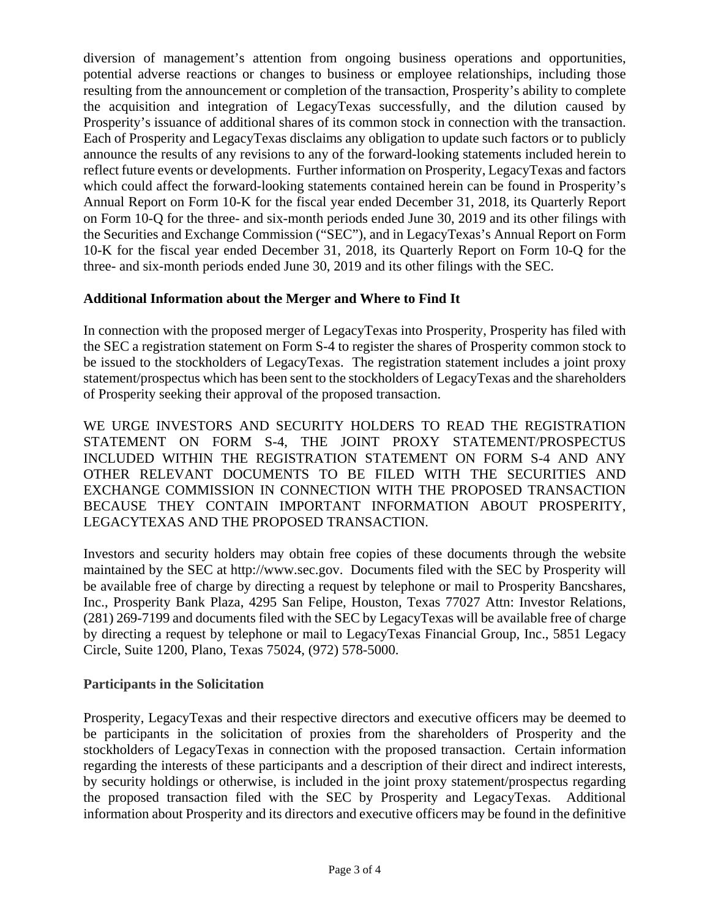diversion of management's attention from ongoing business operations and opportunities, potential adverse reactions or changes to business or employee relationships, including those resulting from the announcement or completion of the transaction, Prosperity's ability to complete the acquisition and integration of LegacyTexas successfully, and the dilution caused by Prosperity's issuance of additional shares of its common stock in connection with the transaction. Each of Prosperity and LegacyTexas disclaims any obligation to update such factors or to publicly announce the results of any revisions to any of the forward-looking statements included herein to reflect future events or developments. Further information on Prosperity, LegacyTexas and factors which could affect the forward-looking statements contained herein can be found in Prosperity's Annual Report on Form 10-K for the fiscal year ended December 31, 2018, its Quarterly Report on Form 10-Q for the three- and six-month periods ended June 30, 2019 and its other filings with the Securities and Exchange Commission ("SEC"), and in LegacyTexas's Annual Report on Form 10-K for the fiscal year ended December 31, 2018, its Quarterly Report on Form 10-Q for the three- and six-month periods ended June 30, 2019 and its other filings with the SEC.

#### **Additional Information about the Merger and Where to Find It**

In connection with the proposed merger of LegacyTexas into Prosperity, Prosperity has filed with the SEC a registration statement on Form S-4 to register the shares of Prosperity common stock to be issued to the stockholders of LegacyTexas. The registration statement includes a joint proxy statement/prospectus which has been sent to the stockholders of LegacyTexas and the shareholders of Prosperity seeking their approval of the proposed transaction.

WE URGE INVESTORS AND SECURITY HOLDERS TO READ THE REGISTRATION STATEMENT ON FORM S-4, THE JOINT PROXY STATEMENT/PROSPECTUS INCLUDED WITHIN THE REGISTRATION STATEMENT ON FORM S-4 AND ANY OTHER RELEVANT DOCUMENTS TO BE FILED WITH THE SECURITIES AND EXCHANGE COMMISSION IN CONNECTION WITH THE PROPOSED TRANSACTION BECAUSE THEY CONTAIN IMPORTANT INFORMATION ABOUT PROSPERITY, LEGACYTEXAS AND THE PROPOSED TRANSACTION.

Investors and security holders may obtain free copies of these documents through the website maintained by the SEC at http://www.sec.gov. Documents filed with the SEC by Prosperity will be available free of charge by directing a request by telephone or mail to Prosperity Bancshares, Inc., Prosperity Bank Plaza, 4295 San Felipe, Houston, Texas 77027 Attn: Investor Relations, (281) 269-7199 and documents filed with the SEC by LegacyTexas will be available free of charge by directing a request by telephone or mail to LegacyTexas Financial Group, Inc., 5851 Legacy Circle, Suite 1200, Plano, Texas 75024, (972) 578-5000.

#### **Participants in the Solicitation**

Prosperity, LegacyTexas and their respective directors and executive officers may be deemed to be participants in the solicitation of proxies from the shareholders of Prosperity and the stockholders of LegacyTexas in connection with the proposed transaction. Certain information regarding the interests of these participants and a description of their direct and indirect interests, by security holdings or otherwise, is included in the joint proxy statement/prospectus regarding the proposed transaction filed with the SEC by Prosperity and LegacyTexas. Additional information about Prosperity and its directors and executive officers may be found in the definitive